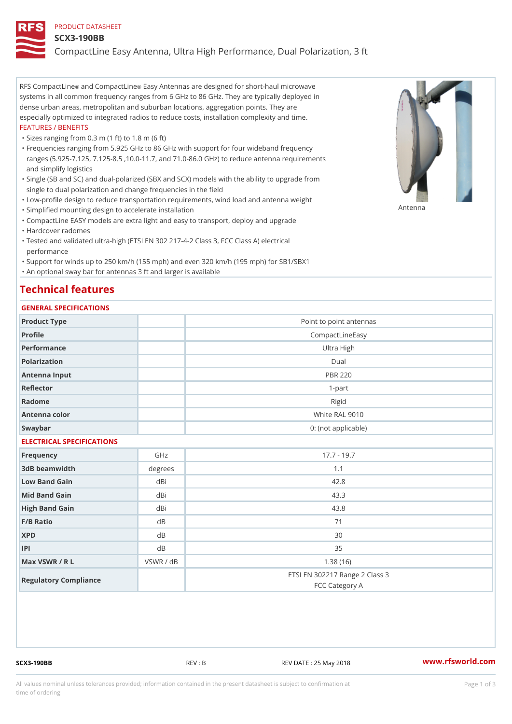#### PRODUCT DATASHEET

#### SCX3-190BB

CompactLine Easy Antenna, Ultra High Performance, Dual Polarization,

RFS Compacthinde Compact Eiansey Antennas are designed for short-haul microwave systems in all common frequency ranges from 6 GHz to 86 GHz. They are typically deployed in dense urban areas, metropolitan and suburban locations, aggregation points. They are especially optimized to integrated radios to reduce costs, installation complexity and time. FEATURES / BENEFITS

"Sizes ranging from 0.3 m (1 ft) to 1.8 m (6 ft)

- Frequencies ranging from 5.925 GHz to 86 GHz with support for four wideband frequency " ranges (5.925-7.125, 7.125-8.5 ,10.0-11.7, and 71.0-86.0 GHz) to reduce antenna requirements and simplify logistics
- Single (SB and SC) and dual-polarized (SBX and SCX) models with the ability to upgrade from " single to dual polarization and change frequencies in the field
- "Low-profile design to reduce transportation requirements, wind load and antenna weight
- "Simplified mounting design to accelerate installation

 "CompactLine EASY models are extra light and easy to transport, deploy and upgrade "Hardcover radomes

Tested and validated ultra-high (ETSI EN 302 217-4-2 Class 3, FCC Class A) electrical " performance

 "Support for winds up to 250 km/h (155 mph) and even 320 km/h (195 mph) for SB1/SBX1 "An optional sway bar for antennas 3 ft and larger is available

# Technical features

## GENERAL SPECIFICATIONS

| OLIVERAL OF LOTITOATIONS  |           |                                                  |  |  |
|---------------------------|-----------|--------------------------------------------------|--|--|
| Product Type              |           | Point to point antennas                          |  |  |
| Profile                   |           | CompactLineEasy                                  |  |  |
| Performance               |           | Ultra High                                       |  |  |
| Polarization              |           | $D$ ual                                          |  |  |
| Antenna Input             |           | <b>PBR 220</b>                                   |  |  |
| Reflector                 |           | $1 - p$ art                                      |  |  |
| Radome                    |           | Rigid                                            |  |  |
| Antenna color             |           | White RAL 9010                                   |  |  |
| Swaybar                   |           | 0: (not applicable)                              |  |  |
| ELECTRICAL SPECIFICATIONS |           |                                                  |  |  |
| Frequency                 | GHz       | $17.7 - 19.7$                                    |  |  |
| 3dB beamwidth             | degree:   | 1.1                                              |  |  |
| Low Band Gain             | dBi       | 42.8                                             |  |  |
| Mid Band Gain             | dBi       | 43.3                                             |  |  |
| High Band Gain            | dBi       | 43.8                                             |  |  |
| F/B Ratio                 | d B       | 71                                               |  |  |
| <b>XPD</b>                | d B       | 30                                               |  |  |
| P                         | d B       | 35                                               |  |  |
| Max VSWR / R L            | VSWR / dB | 1.38(16)                                         |  |  |
| Regulatory Compliance     |           | ETSI EN 302217 Range 2 Class 3<br>FCC Category A |  |  |

SCX3-190BB REV : B REV DATE : 25 May 2018 [www.](https://www.rfsworld.com)rfsworld.com

Antenna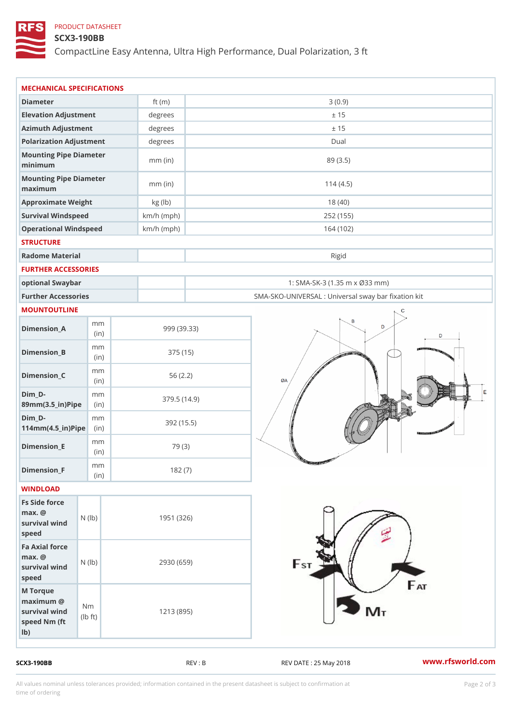# PRODUCT DATASHEET

## SCX3-190BB

CompactLine Easy Antenna, Ultra High Performance, Dual Polarization,

| MECHANICAL SPECIFICATIONS                                                                                |              |                                                   |
|----------------------------------------------------------------------------------------------------------|--------------|---------------------------------------------------|
| Diameter                                                                                                 | ft $(m)$     | 3(0.9)                                            |
| Elevation Adjustment                                                                                     | degrees      | ± 15                                              |
| Azimuth Adjustment                                                                                       | degrees      | ± 15                                              |
| Polarization Adjustment                                                                                  | degrees      | Dual                                              |
| Mounting Pipe Diameter<br>minimum                                                                        | $mm$ (in)    | 89 (3.5)                                          |
| Mounting Pipe Diameter<br>maximum                                                                        | $mm$ (in)    | 114(4.5)                                          |
| Approximate Weight                                                                                       | kg (lb)      | 18(40)                                            |
| Survival Windspeed                                                                                       | $km/h$ (mph) | 252 (155)                                         |
| Operational Windspeed                                                                                    | $km/h$ (mph) | 164 (102)                                         |
| <b>STRUCTURE</b>                                                                                         |              |                                                   |
| Radome Material                                                                                          |              | Rigid                                             |
| FURTHER ACCESSORIES                                                                                      |              |                                                   |
| optional Swaybar                                                                                         |              | 1: SMA-SK-3 (1.35 m x Ø33 mm)                     |
| Further Accessories                                                                                      |              | SMA-SKO-UNIVERSAL : Universal sway bar fixation I |
| MOUNTOUTLINE                                                                                             |              |                                                   |
| m m<br>$Dimen sion_A$<br>(in)                                                                            |              | 999 (39.33)                                       |
| m m<br>$Dimension_B$<br>(in)                                                                             |              | 375 (15)                                          |
| m m<br>$Dimension_C$<br>(in)                                                                             |              | 56(2.2)                                           |
| $Dim_D - D -$<br>m m<br>89mm (3.5_in) Pi(pine                                                            |              | 379.5(14.9)                                       |
| $Dim_D - D -$<br>m m<br>$114$ m m $(4.5$ _ ir $)$ $R$ ii p $e$                                           |              | 392 (15.5)                                        |
| m m<br>$Dimension$ _E<br>(in)                                                                            |              | 79 (3)                                            |
| m m<br>Dimension_F<br>(in)                                                                               |              | 182(7)                                            |
| WINDLOAD                                                                                                 |              |                                                   |
| Fs Side force<br>$max.$ @<br>survival $w \nmid N$ ( $ b$ )<br>speed                                      | 1951 (326)   |                                                   |
| Fa Axial force<br>$max.$ @<br>survival $w \in N$ (l $b$ )<br>speed                                       | 2930 (659)   |                                                   |
| M Torque<br>$m$ aximum $@$<br>N m<br>survival wind<br>$\vert t \rangle$<br>l b<br>speed Nm (ft<br>$1b$ ) | 1213 (895)   |                                                   |

SCX3-190BB REV : B REV : REV DATE : 25 May 2018 WWW.rfsworld.com